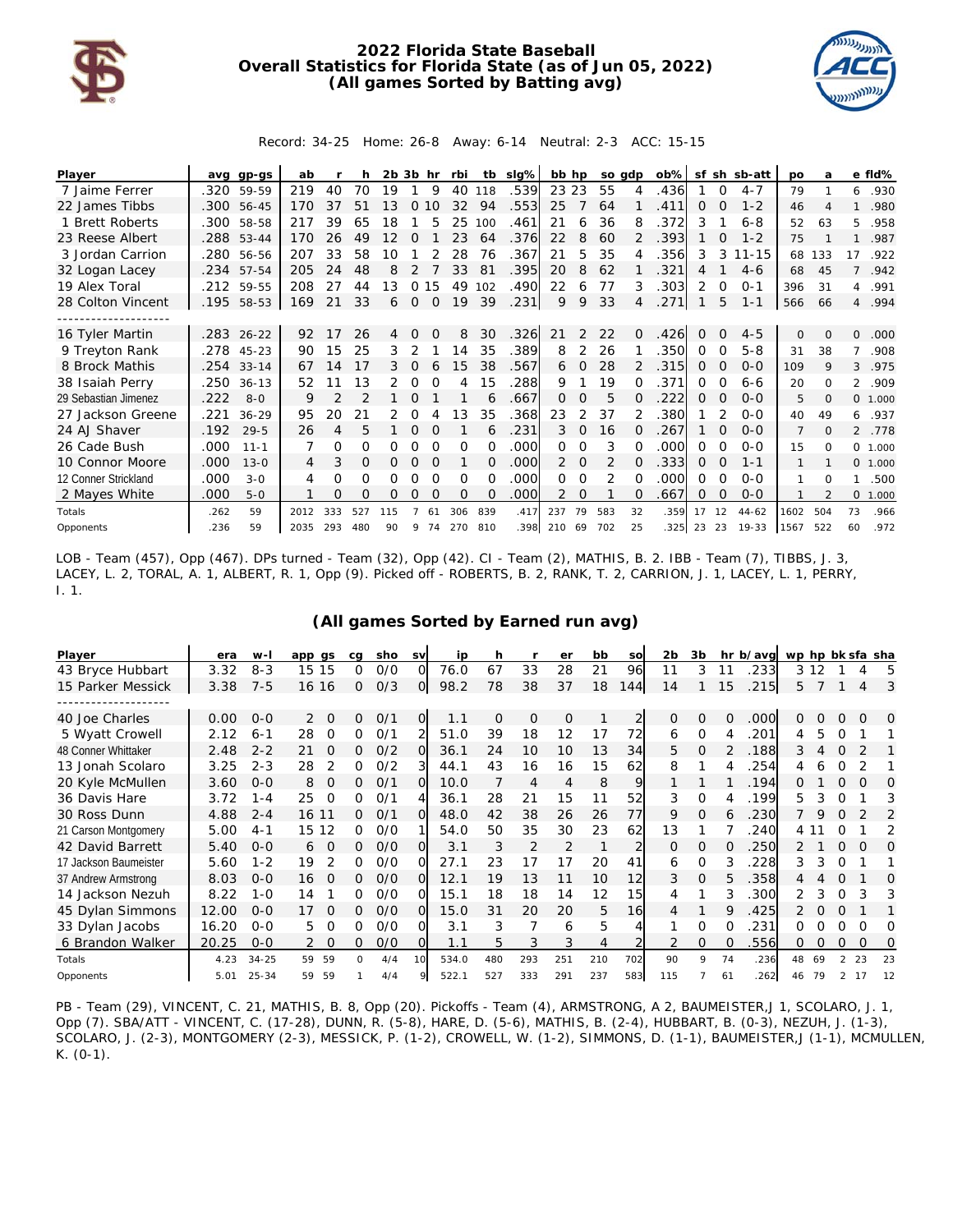

## **2022 Florida State Baseball Overall Statistics for Florida State (as of Jun 05, 2022) (All games Sorted by Batting avg)**



Record: 34-25 Home: 26-8 Away: 6-14 Neutral: 2-3 ACC: 15-15

| Player               |      | avg gp-gs  | ab   |     | h   | $2b$ $3b$ hr |          |          | rbi      |              | tb sig% | bb hp         |          |     | so gdp | ob%  |       |          | sf sh sb-att | po             | а            |                | e fld%   |
|----------------------|------|------------|------|-----|-----|--------------|----------|----------|----------|--------------|---------|---------------|----------|-----|--------|------|-------|----------|--------------|----------------|--------------|----------------|----------|
| 7 Jaime Ferrer       |      | .320 59-59 | 219  | 40  | 70  | 19           |          | 9        | 40       | 118          | 539.    | 23 23         |          | 55  |        | .436 |       | $\Omega$ | $4 - 7$      | 79             |              | 6              | .930     |
| 22 James Tibbs       | .300 | 56-45      | 170  | 37  | 51  | 13           | 0        | 10       | 32       | 94           | .553    | 25            |          | 64  |        | 411  | 0     |          | $1 - 2$      | 46             |              |                | .980     |
| 1 Brett Roberts      | .300 | 58-58      | 217  | 39  | 65  | 18           |          | 5        | 25       | 100          | .461    | 21            | 6        | 36  | 8      | .372 | 3     |          | $6 - 8$      | 52             | 63           | 5              | .958     |
| 23 Reese Albert      |      | .288 53-44 | 170  | 26  | 49  | 12           | O        |          | 23       | 64           | .376    | 22            | 8        | 60  |        | .393 |       | O        | $1 - 2$      | 75             |              | 1              | .987     |
| 3 Jordan Carrion     |      | .280 56-56 | 207  | 33  | 58  | 10           |          |          | 28       | 76           | .367    | 21            | 5        | 35  |        | .356 | 3     | 3        | $11 - 15$    | 68             | 133          | 17             | .922     |
| 32 Logan Lacey       |      | .234 57-54 | 205  | 24  | 48  | 8            | 2        |          | 33       | 81           | .395    | 20            | 8        | 62  |        | .321 | 4     |          | $4-6$        | 68             | 45           | $\overline{7}$ | .942     |
| 19 Alex Toral        | .212 | 59-55      | 208  | 27  | 44  | Ι3           | 0        | 15       | 49       | 102          | 490     | 22            | 6        | 77  | 3      | .303 | 2     |          | $O - 1$      | 396            | 31           | 4              | .991     |
| 28 Colton Vincent    | .195 | 58-53      | 169  | 21  | 33  | 6            | $\Omega$ | $\Omega$ | 19       | 39           | 231     | 9             | 9        | 33  | 4      | .271 |       | 5        | $1 - 1$      | 566            | 66           | $\overline{4}$ | .994     |
|                      |      |            |      |     |     |              |          |          |          |              |         |               |          |     |        |      |       |          |              |                |              |                |          |
| 16 Tyler Martin      |      | .283 26-22 | 92   | 17  | 26  | 4            | O        | $\Omega$ | 8        | 30           | 326     | 21            | 2        | 22  | 0      | .426 | 0     | $\Omega$ | $4 - 5$      | $\mathbf{0}$   | $\Omega$     | $\Omega$       | .000     |
| 9 Treyton Rank       | .278 | 45-23      | 90   | 15  | 25  | 3            |          |          | 14       | 35           | .389    | 8             | 2        | 26  |        | .350 | 0     | O        | $5 - 8$      | 31             | 38           |                | .908     |
| 8 Brock Mathis       | .254 | $33 - 14$  | 67   | 14  | 17  | 3            | $\Omega$ | 6        | 15       | 38           | .567    | 6             | 0        | 28  |        | .315 | O     |          | $0 - 0$      | 109            | 9            | 3              | .975     |
| 38 Isaiah Perry      | .250 | $36 - 13$  | 52   | 11  | 13  | 2            | 0        | ∩        | 4        | 15           | .288    | 9             |          | 19  | O.     | .371 | Ο     | O        | $6 - 6$      | 20             | <sup>o</sup> | $\overline{2}$ | .909     |
| 29 Sebastian Jimenez | .222 | $8 - 0$    | 9    | 2   |     |              | O        |          |          | 6            | .667    | 0             | 0        | 5   | 0      | .222 | Ο     | $\Omega$ | $O - O$      | 5              | $\Omega$     |                | 0, 1,000 |
| 27 Jackson Greene    | .221 | $36 - 29$  | 95   | 20  | 21  |              | ი        |          | 13       | 35           | .368    | 23            | 2        | 37  |        | .380 |       |          | $O-O$        | 40             | 49           | 6              | .937     |
| 24 AJ Shaver         | .192 | $29 - 5$   | 26   | 4   | 5   |              | 0        |          |          | 6            | .231    | 3             | $\Omega$ | 16  | O.     | .267 |       | $\Omega$ | $0 - 0$      | $\overline{7}$ | $\Omega$     | 2              | .778     |
| 26 Cade Bush         | .000 | $11 - 1$   | 7    | 0   | 0   | Ο            |          |          | O        | $\Omega$     | .000    | $\Omega$      | $\Omega$ | 3   |        | .000 | 0     |          | $O-O$        | 15             | $\Omega$     | $\circ$        | 1.000    |
| 10 Connor Moore      | .000 | $13 - 0$   | 4    | 3   | 0   | 0            | $\Omega$ | $\Omega$ |          | <sup>o</sup> | .000    | $\mathcal{P}$ | $\Omega$ | 2   | O.     | .333 | 0     | $\Omega$ | $1 - 1$      |                |              |                | 0, 1,000 |
| 12 Conner Strickland | .000 | $3 - 0$    | 4    | Ο   | 0   | Ο            | O        |          | 0        | 0            | .000    | 0             | 0        | 2   |        | .000 | 0     | O        | $0 - 0$      |                | <sup>o</sup> |                | .500     |
| 2 Mayes White        | .000 | $5 - 0$    |      | O   | O   | Ο            | O        |          | $\Omega$ |              | .000    | 2             | $\Omega$ |     | 0      | .667 | 0     | $\Omega$ | $O-O$        |                |              | $\Omega$       | 1.000    |
| Totals               | .262 | 59         | 2012 | 333 | 527 | 115          |          | 61       | 306      | 839          | .417    | 237           | 79       | 583 | 32     | .359 | 17    | 12       | $44 - 62$    | 1602           | 504          | 73             | .966     |
| Opponents            | .236 | 59         | 2035 | 293 | 480 | 90           | 9        | 74       | 270      | 810          | .398    | 210 69        |          | 702 | 25     | .325 | 23 23 |          | 19-33        | 1567           | 522          | 60             | .972     |

LOB - Team (457), Opp (467). DPs turned - Team (32), Opp (42). CI - Team (2), MATHIS, B. 2. IBB - Team (7), TIBBS, J. 3, LACEY, L. 2, TORAL, A. 1, ALBERT, R. 1, Opp (9). Picked off - ROBERTS, B. 2, RANK, T. 2, CARRION, J. 1, LACEY, L. 1, PERRY, I. 1.

| (All games Sorted by Earned run avg) |  |  |
|--------------------------------------|--|--|
|--------------------------------------|--|--|

| Player                | era   | $W-I$     | app qs         | ca           | sho | sv           | ip    | h        | r   | er             | bb  | so  | 2b       | 3b |    | hr b/avg |     |       |   | wp hp bk sfa sha |          |
|-----------------------|-------|-----------|----------------|--------------|-----|--------------|-------|----------|-----|----------------|-----|-----|----------|----|----|----------|-----|-------|---|------------------|----------|
| 43 Bryce Hubbart      | 3.32  | $8 - 3$   | 15 15          | $\Omega$     | 0/0 | <sup>o</sup> | 76.0  | 67       | 33  | 28             | 21  | 96  | 11       | 3  | 11 | 233      |     | 3 1 2 |   | 4                | 5        |
| 15 Parker Messick     | 3.38  | $7 - 5$   | 16 16          | $\Omega$     | 0/3 | <sup>O</sup> | 98.2  | 78       | 38  | 37             | 18  | 144 | 14       |    | 15 | .215     | 5   |       |   | 4                | 3        |
|                       |       |           |                |              |     |              |       |          |     |                |     |     |          |    |    |          |     |       |   |                  |          |
| 40 Joe Charles        | 0.00  | $0 - 0$   | 2<br>$\Omega$  | 0            | O/1 | 0            | 1.1   | $\Omega$ | 0   | $\Omega$       | 1   | 2   | $\Omega$ | 0  | O  | 000      | 0   | O     | Ω | $\Omega$         | 0        |
| 5 Wyatt Crowell       | 2.12  | $6 - 1$   | 28<br>$\Omega$ | 0            | 0/1 | 2            | 51.0  | 39       | 18  | 12             | 17  | 72  | 6        | 0  | 4  | 201      | 4   | 5     | O |                  |          |
| 48 Conner Whittaker   | 2.48  | $2 - 2$   | 21<br>0        | 0            | 0/2 | O            | 36.1  | 24       | 10  | 10             | 13  | 34  | 5        | 0  | 2  | .188     | 3   |       | 0 |                  |          |
| 13 Jonah Scolaro      | 3.25  | $2 - 3$   | 28             | <sup>o</sup> | 0/2 |              | 44.1  | 43       | 16  | 16             | 15  | 62  | 8        |    |    | 254      | 4   |       | O |                  |          |
| 20 Kyle McMullen      | 3.60  | $0 - 0$   | 8<br>$\Omega$  | 0            | O/1 | O            | 10.0  |          | 4   | 4              | 8   | 9   |          |    |    | .194     |     |       | O |                  | 0        |
| 36 Davis Hare         | 3.72  | $1 - 4$   | 25<br>$\Omega$ | ∩            | 0/1 |              | 36.1  | 28       | 21  | 15             | 11  | 52  | 3        | 0  | 4  | .199     | 5   |       | O |                  | 3        |
| 30 Ross Dunn          | 4.88  | $2 - 4$   | 16 11          | O            | O/1 | O            | 48.0  | 42       | 38  | 26             | 26  | 77  | 9        | 0  | 6  | .230     |     | 9     | O |                  | 2        |
| 21 Carson Montgomery  | 5.00  | $4 - 1$   | 15 12          | <sup>n</sup> | O/O |              | 54.0  | 50       | 35  | 30             | 23  | 62  | 13       |    |    | 240      | 4 1 |       | O |                  | 2        |
| 42 David Barrett      | 5.40  | $0 - 0$   | $\Omega$<br>6  | 0            | O/O | ΩI           | 3.1   | 3        | 2   | $\overline{2}$ | 1   |     | $\Omega$ | O  | O  | 250      |     |       |   |                  | $\Omega$ |
| 17 Jackson Baumeister | 5.60  | $1 - 2$   | 19             | 0            | 0/0 |              | 27.1  | 23       | 17  | 17             | 20  | 41  | 6        | 0  | 3  | 228      | 3   |       | O |                  |          |
| 37 Andrew Armstrong   | 8.03  | $0 - 0$   | 16<br>$\Omega$ | 0            | 0/0 | OI           | 12.1  | 19       | 13  | 11             | 10  | 12  | 3        | 0  | 5  | .358     | 4   |       | O |                  | 0        |
| 14 Jackson Nezuh      | 8.22  | $1 - 0$   | 14             | 0            | O/O | OI           | 15.1  | 18       | 18  | 14             | 12  | 15  | 4        |    | 3  | 300      | 2   |       | O |                  | 3        |
| 45 Dylan Simmons      | 12.00 | $0-0$     | 17<br>$\Omega$ | 0            | O/O | O.           | 15.0  | 31       | 20  | 20             | 5   | 16  | 4        |    | 9  | .425     | 2   |       | O |                  |          |
| 33 Dylan Jacobs       | 16.20 | $0 - 0$   | 5              | ∩            | 0/0 | വ            | 3.1   | 3        |     | 6              | 5   |     |          | O  | O  | 231      | ∩   |       | Ω |                  | Ω        |
| 6 Brandon Walker      | 20.25 | $0 - 0$   | $\Omega$       | 0            | 0/0 | O.           | 1.1   | 5        | 3   | 3              | 4   |     | 2        | 0  | O  | .556     | 0   | 0     | 0 | $\Omega$         | 0        |
| Totals                | 4.23  | $34 - 25$ | 59<br>59       | O            | 4/4 | 10           | 534.0 | 480      | 293 | 251            | 210 | 702 | 90       | 9  | 74 | .236     | 48  | 69    | 2 | 23               | 23       |
| Opponents             | 5.01  | $25 - 34$ | 59<br>59       |              | 4/4 |              | 522.1 | 527      | 333 | 291            | 237 | 583 | 115      |    | 61 | .262     | 46  | 79    |   | 17               | 12       |

PB - Team (29), VINCENT, C. 21, MATHIS, B. 8, Opp (20). Pickoffs - Team (4), ARMSTRONG, A 2, BAUMEISTER,J 1, SCOLARO, J. 1, Opp (7). SBA/ATT - VINCENT, C. (17-28), DUNN, R. (5-8), HARE, D. (5-6), MATHIS, B. (2-4), HUBBART, B. (0-3), NEZUH, J. (1-3), SCOLARO, J. (2-3), MONTGOMERY (2-3), MESSICK, P. (1-2), CROWELL, W. (1-2), SIMMONS, D. (1-1), BAUMEISTER,J (1-1), MCMULLEN,  $K. (0-1).$